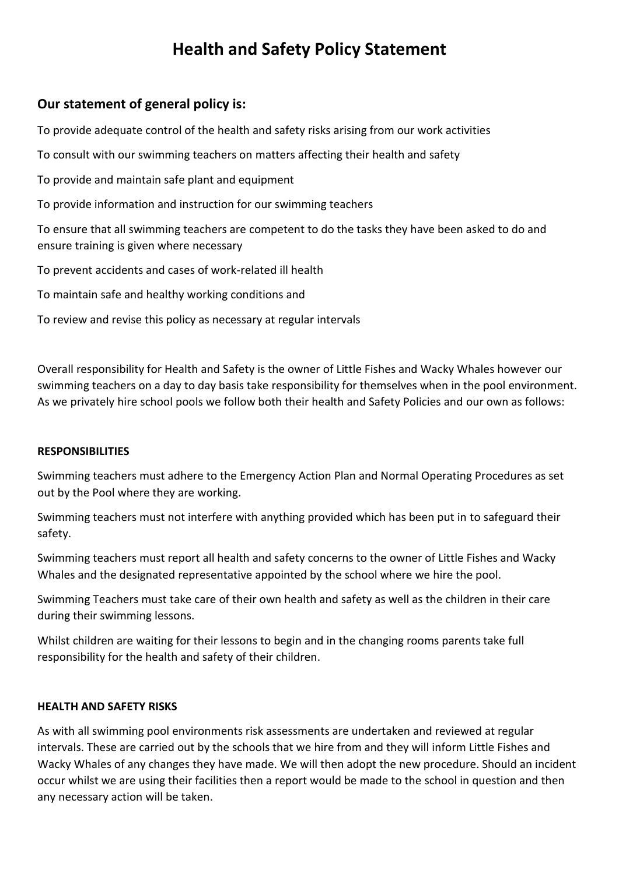# **Health and Safety Policy Statement**

# **Our statement of general policy is:**

To provide adequate control of the health and safety risks arising from our work activities

To consult with our swimming teachers on matters affecting their health and safety

To provide and maintain safe plant and equipment

To provide information and instruction for our swimming teachers

To ensure that all swimming teachers are competent to do the tasks they have been asked to do and ensure training is given where necessary

To prevent accidents and cases of work-related ill health

To maintain safe and healthy working conditions and

To review and revise this policy as necessary at regular intervals

Overall responsibility for Health and Safety is the owner of Little Fishes and Wacky Whales however our swimming teachers on a day to day basis take responsibility for themselves when in the pool environment. As we privately hire school pools we follow both their health and Safety Policies and our own as follows:

## **RESPONSIBILITIES**

Swimming teachers must adhere to the Emergency Action Plan and Normal Operating Procedures as set out by the Pool where they are working.

Swimming teachers must not interfere with anything provided which has been put in to safeguard their safety.

Swimming teachers must report all health and safety concerns to the owner of Little Fishes and Wacky Whales and the designated representative appointed by the school where we hire the pool.

Swimming Teachers must take care of their own health and safety as well as the children in their care during their swimming lessons.

Whilst children are waiting for their lessons to begin and in the changing rooms parents take full responsibility for the health and safety of their children.

## **HEALTH AND SAFETY RISKS**

As with all swimming pool environments risk assessments are undertaken and reviewed at regular intervals. These are carried out by the schools that we hire from and they will inform Little Fishes and Wacky Whales of any changes they have made. We will then adopt the new procedure. Should an incident occur whilst we are using their facilities then a report would be made to the school in question and then any necessary action will be taken.